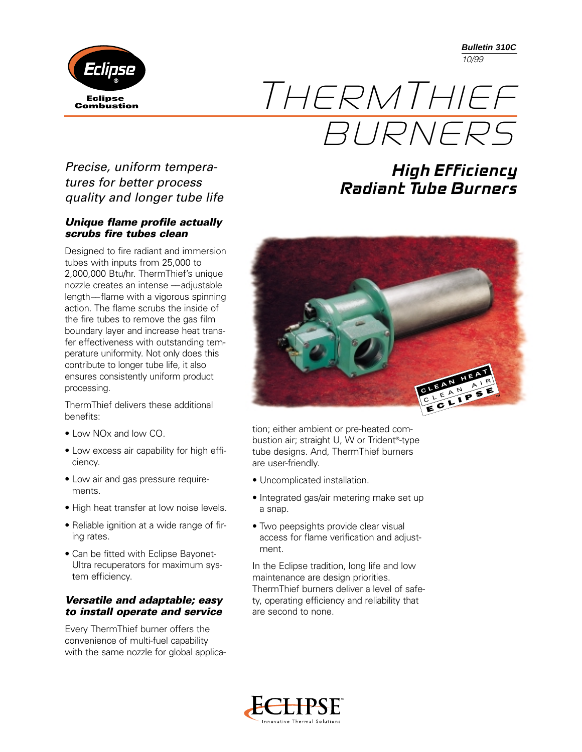**Bulletin 310C** *10/99*

**High Efficiency** 

**Radiant Tube Burners**



# THERMTHIEF BURNERS

*Precise, uniform temperatures for better process quality and longer tube life*

#### *Unique flame profile actually scrubs fire tubes clean*

Designed to fire radiant and immersion tubes with inputs from 25,000 to 2,000,000 Btu/hr. ThermThief's unique nozzle creates an intense ––adjustable length––flame with a vigorous spinning action. The flame scrubs the inside of the fire tubes to remove the gas film boundary layer and increase heat transfer effectiveness with outstanding temperature uniformity. Not only does this contribute to longer tube life, it also ensures consistently uniform product processing.

ThermThief delivers these additional benefits:

- Low NOx and low CO.
- Low excess air capability for high efficiency.
- Low air and gas pressure requirements.
- High heat transfer at low noise levels.
- Reliable ignition at a wide range of firing rates.
- Can be fitted with Eclipse Bayonet-Ultra recuperators for maximum system efficiency.

### *Versatile and adaptable; easy to install operate and service*

Every ThermThief burner offers the convenience of multi-fuel capability with the same nozzle for global applica-



tion; either ambient or pre-heated combustion air; straight U, W or Trident®-type tube designs. And, ThermThief burners are user-friendly.

- Uncomplicated installation.
- Integrated gas/air metering make set up a snap.
- Two peepsights provide clear visual access for flame verification and adjustment.

In the Eclipse tradition, long life and low maintenance are design priorities. ThermThief burners deliver a level of safety, operating efficiency and reliability that are second to none.